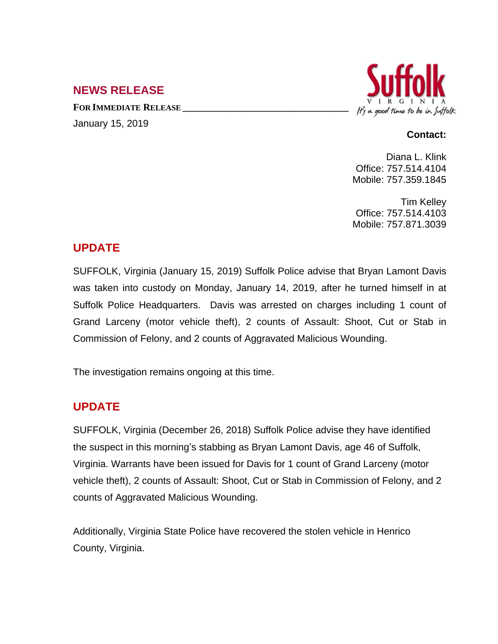## **NEWS RELEASE**

**FOR IMMEDIATE RELEASE \_\_\_\_\_\_\_\_\_\_\_\_\_\_\_\_\_\_\_\_\_\_\_\_\_\_\_\_\_\_\_\_\_\_** January 15, 2019



#### **Contact:**

Diana L. Klink Office: 757.514.4104 Mobile: 757.359.1845

Tim Kelley Office: 757.514.4103 Mobile: 757.871.3039

## **UPDATE**

SUFFOLK, Virginia (January 15, 2019) Suffolk Police advise that Bryan Lamont Davis was taken into custody on Monday, January 14, 2019, after he turned himself in at Suffolk Police Headquarters. Davis was arrested on charges including 1 count of Grand Larceny (motor vehicle theft), 2 counts of Assault: Shoot, Cut or Stab in Commission of Felony, and 2 counts of Aggravated Malicious Wounding.

The investigation remains ongoing at this time.

# **UPDATE**

SUFFOLK, Virginia (December 26, 2018) Suffolk Police advise they have identified the suspect in this morning's stabbing as Bryan Lamont Davis, age 46 of Suffolk, Virginia. Warrants have been issued for Davis for 1 count of Grand Larceny (motor vehicle theft), 2 counts of Assault: Shoot, Cut or Stab in Commission of Felony, and 2 counts of Aggravated Malicious Wounding.

Additionally, Virginia State Police have recovered the stolen vehicle in Henrico County, Virginia.